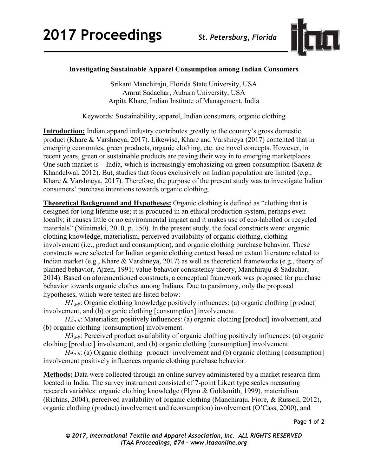

## **Investigating Sustainable Apparel Consumption among Indian Consumers**

Srikant Manchiraju, Florida State University, USA Amrut Sadachar, Auburn University, USA Arpita Khare, Indian Institute of Management, India

Keywords: Sustainability, apparel, Indian consumers, organic clothing

**Introduction:** Indian apparel industry contributes greatly to the country's gross domestic product (Khare & Varshneya, 2017). Likewise, Khare and Varshneya (2017) contented that in emerging economies, green products, organic clothing, etc. are novel concepts. However, in recent years, green or sustainable products are paving their way in to emerging marketplaces. One such market is—India, which is increasingly emphasizing on green consumption (Saxena  $\&$ Khandelwal, 2012). But, studies that focus exclusively on Indian population are limited (e.g., Khare & Varshneya, 2017). Therefore, the purpose of the present study was to investigate Indian consumers' purchase intentions towards organic clothing.

**Theoretical Background and Hypotheses:** Organic clothing is defined as "clothing that is designed for long lifetime use; it is produced in an ethical production system, perhaps even locally; it causes little or no environmental impact and it makes use of eco-labelled or recycled materials" (Niinimaki, 2010, p. 150). In the present study, the focal constructs were: organic clothing knowledge, materialism, perceived availability of organic clothing, clothing involvement (i.e., product and consumption), and organic clothing purchase behavior. These constructs were selected for Indian organic clothing context based on extant literature related to Indian market (e.g., Khare & Varshneya, 2017) as well as theoretical frameworks (e.g., theory of planned behavior, Ajzen, 1991; value-behavior consistency theory, Manchiraju & Sadachar, 2014). Based on aforementioned constructs, a conceptual framework was proposed for purchase behavior towards organic clothes among Indians. Due to parsimony, only the proposed hypotheses, which were tested are listed below:

*H1a-b*: Organic clothing knowledge positively influences: (a) organic clothing [product] involvement, and (b) organic clothing [consumption] involvement.

*H2<sub>a-b</sub>*: Materialism positively influences: (a) organic clothing [product] involvement, and (b) organic clothing [consumption] involvement.

*H3a-b*: Perceived product availability of organic clothing positively influences: (a) organic clothing [product] involvement, and (b) organic clothing [consumption] involvement.

*H4<sub>a-b</sub>*: (a) Organic clothing [product] involvement and (b) organic clothing [consumption] involvement positively influences organic clothing purchase behavior.

**Methods:** Data were collected through an online survey administered by a market research firm located in India. The survey instrument consisted of 7-point Likert type scales measuring research variables: organic clothing knowledge (Flynn & Goldsmith, 1999), materialism (Richins, 2004), perceived availability of organic clothing (Manchiraju, Fiore, & Russell, 2012), organic clothing (product) involvement and (consumption) involvement (O'Cass, 2000), and

Page **1** of **2** 

*© 2017, International Textile and Apparel Association, Inc. ALL RIGHTS RESERVED ITAA Proceedings, #74 – www.itaaonline.org*